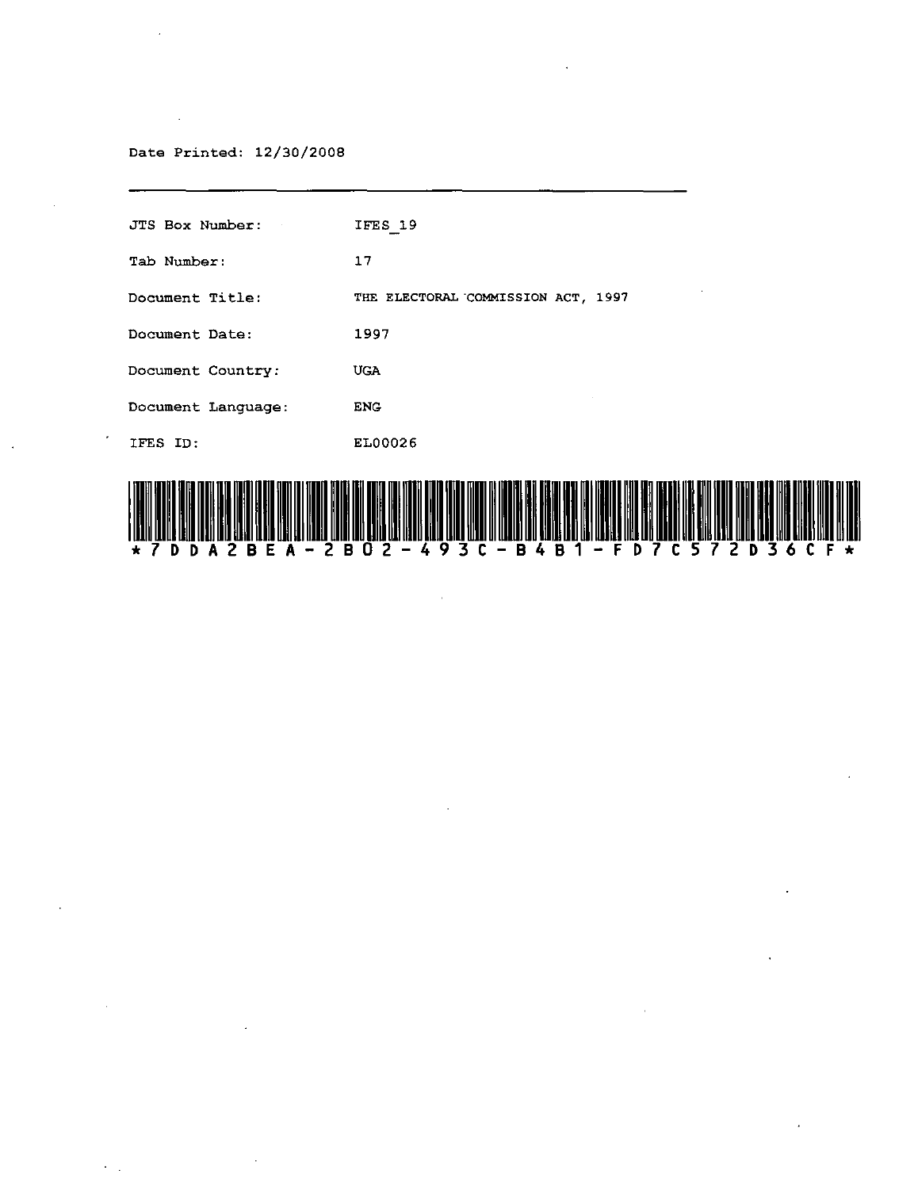#### Date Printed: 12/30/2008

 $\bar{a}$ 

 $\bar{z}$ 

| JTS Box Number:    | IFES 19                            |
|--------------------|------------------------------------|
| Tab Number:        | 17                                 |
| Document Title:    | THE ELECTORAL COMMISSION ACT, 1997 |
| Document Date:     | 1997                               |
| Document Country:  | <b>UGA</b>                         |
| Document Language: | <b>ENG</b>                         |
| IFES ID:           | EL00026                            |
|                    |                                    |



 $\mathbb{R}^2$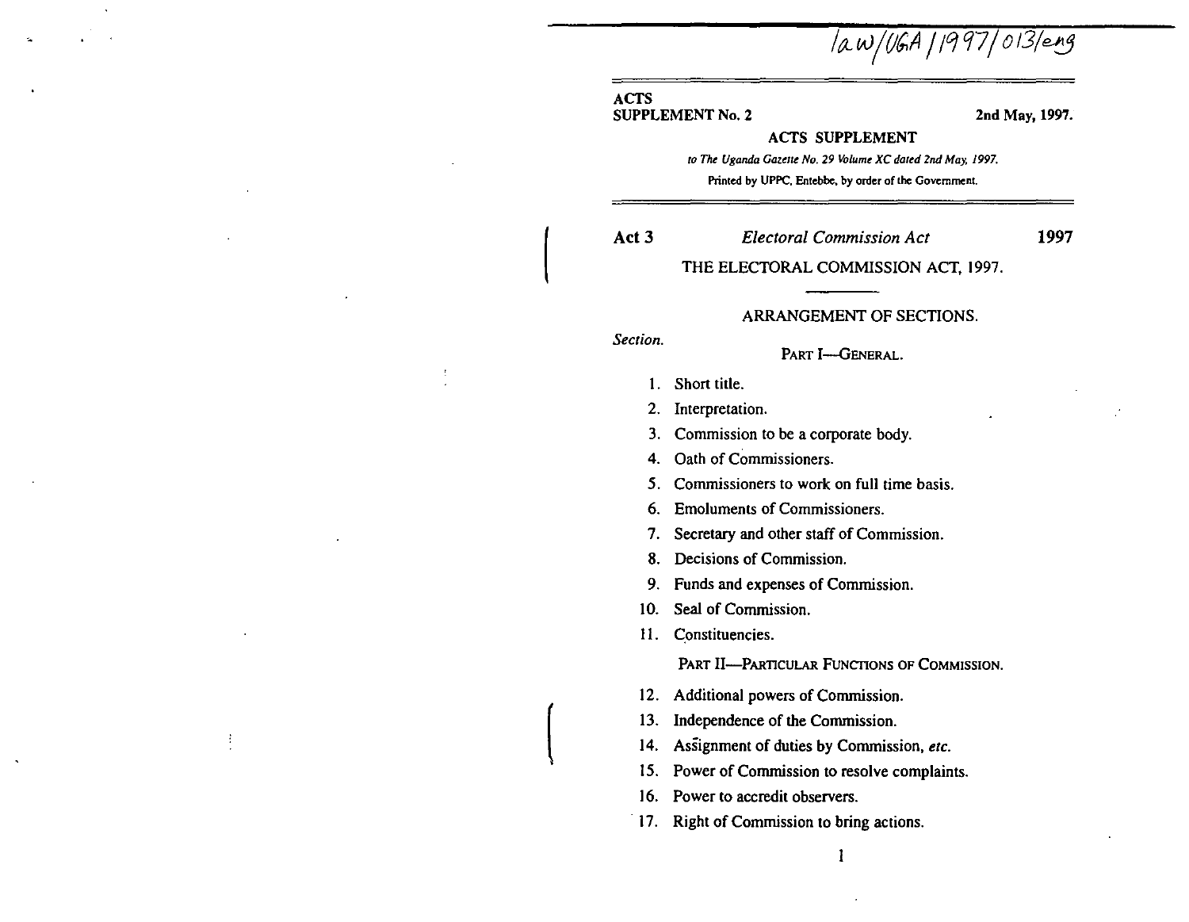law/UGA | 1997 | 013/eng

## ACTS

.•

SUPPLEMENT No. 2 2nd May, 1997.

#### ACTS SUPPLEMENT

*to The Uganda Gazette No. 29 Volume XC dated 2nd May, 1997.* **Printed by UPPC. Entebbe. by order of the Government.** 

Act 3 *Electoral Commission Act* 

1997

THE ELECTORAL COMMISSION ACT, 1997.

#### ARRANGEMENT OF SECTIONS.

*Section.* 

 $\mathsf{L}$ 

 $\vert$ 

PART I-GENERAL.

- 1. Short title.
- 2. Interpretation.
- 3. Commission to be a corporate body.

4. Oath of Commissioners.

- 5. Commissioners to work on full time basis.
- 6. Emoluments of Commissioners.
- 7. Secretary and other staff of Commission.
- S. Decisions of Commission.
- 9. Funds and expenses of Commission.
- 10. Seal of Commission.

11. Constituencies.

PART II-PARTICULAR FUNCTIONS OF COMMISSION.

l

- 12. Additional powers of Commission.
- 13. Independence of the Commission.
- 14. Assignment of duties by Commission, *etc.*
- 15. Power of Commission to resolve complaints.
- 16. Power to accredit observers.
- 17. Right of Commission to bring actions.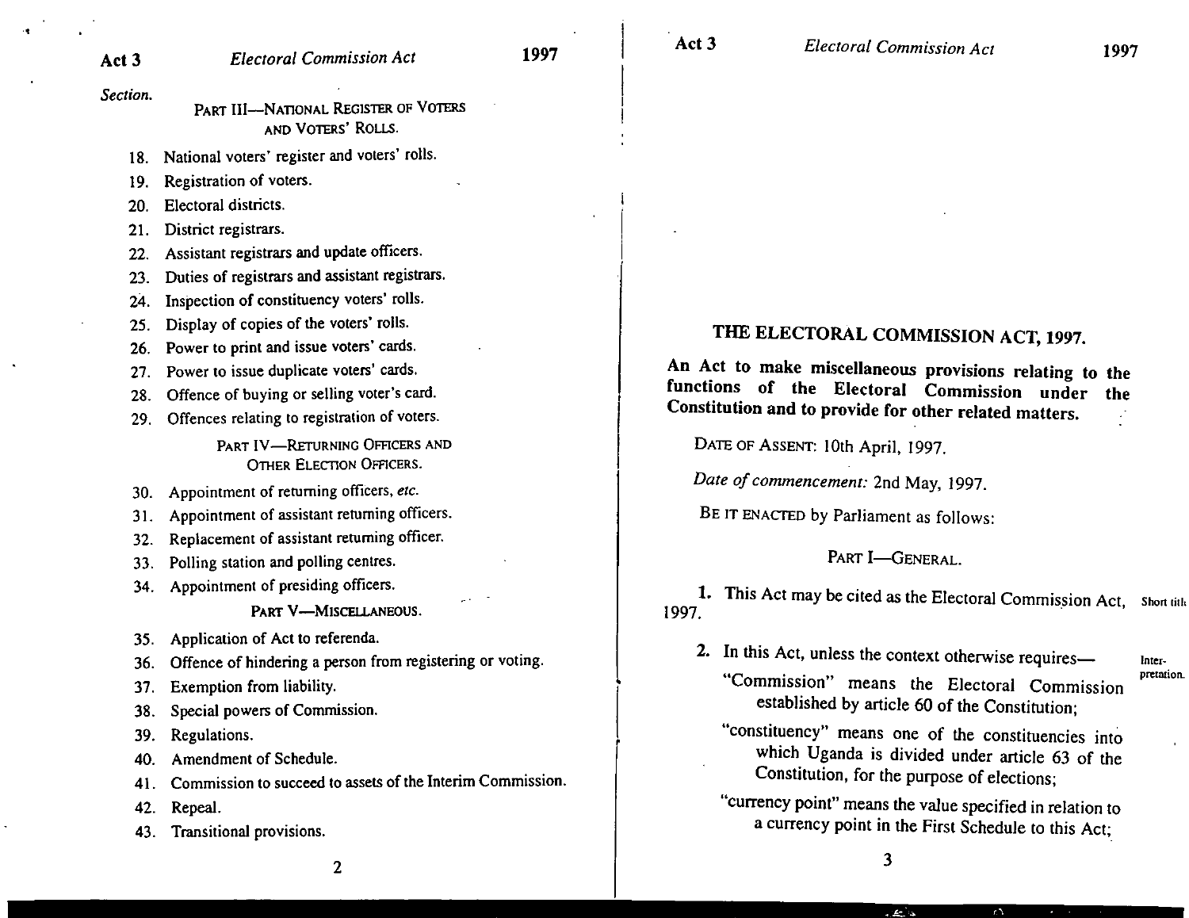*Section.* 

PART III--NATIONAL REGISTER OF VOTERS AND VOTERS' ROLLS.

18. National voters' register and voters' rolls.

19. Registration of voters.

20. Electoral districts.

21. District registrars.

22. Assistant registrars and update officers.

23. Duties of registrars and assistant registrars.

24. Inspection of constituency voters' rolls.

25. Display of copies of the voters' rolls.

26. Power to print and issue voters' cards.

27. Power to issue duplicate voters' cards.

28. Offence of buying or selling voter's card.

29. Offences relating to registration of voters.

PART IV-RETURNING OFFICERS AND OTHER ELECTION OFFICERS.

30. Appointment of returning officers, *etc.* 

31. Appointment of assistant returning officers.

32. Replacement of assistant returning officer.

- 33. Polling station and polling centres.
- 34. Appointment of presiding officers.

PART V-MISCELLANEOUS.

35. Application of Act to referenda.

36. Offence of hindering a person from registering or voting.

37. Exemption from liability.

38. Special powers of Commission.

39. Regulations.

40. Amendment of Schedule.

41. Commission to succeed to assets of the Interim Commission.

42. Repeal.

43. Transitional provisions.

THE ELECTORAL COMMISSION ACT, 1997.

An Act to make miscellaneous provisions relating to the functions of the Electoral Commission under the Constitution and to provide for other related matters.

DATE OF ASSENT: 10th April, 1997.

*Date of commencement:* 2nd May, 1997.

BE IT ENACTED by Parliament as follows:

## PART I-GENERAL.

1. This Act may be cited as the Electoral Commission Act, Short title<br>1997.

2. In this Act, unless the context otherwise requires-"Commission" means the Electoral Commission

**Inter· preuuiOR.** 

established by article 60 of the Constitution; "constituency" means one of the constituencies into which Uganda is divided under article 63 of the

Constitution, for the purpose of elections; "currency point" means the value specified in relation to

a currency point in the First Schedule to this Act;

 $r\Delta$ 

الحال کان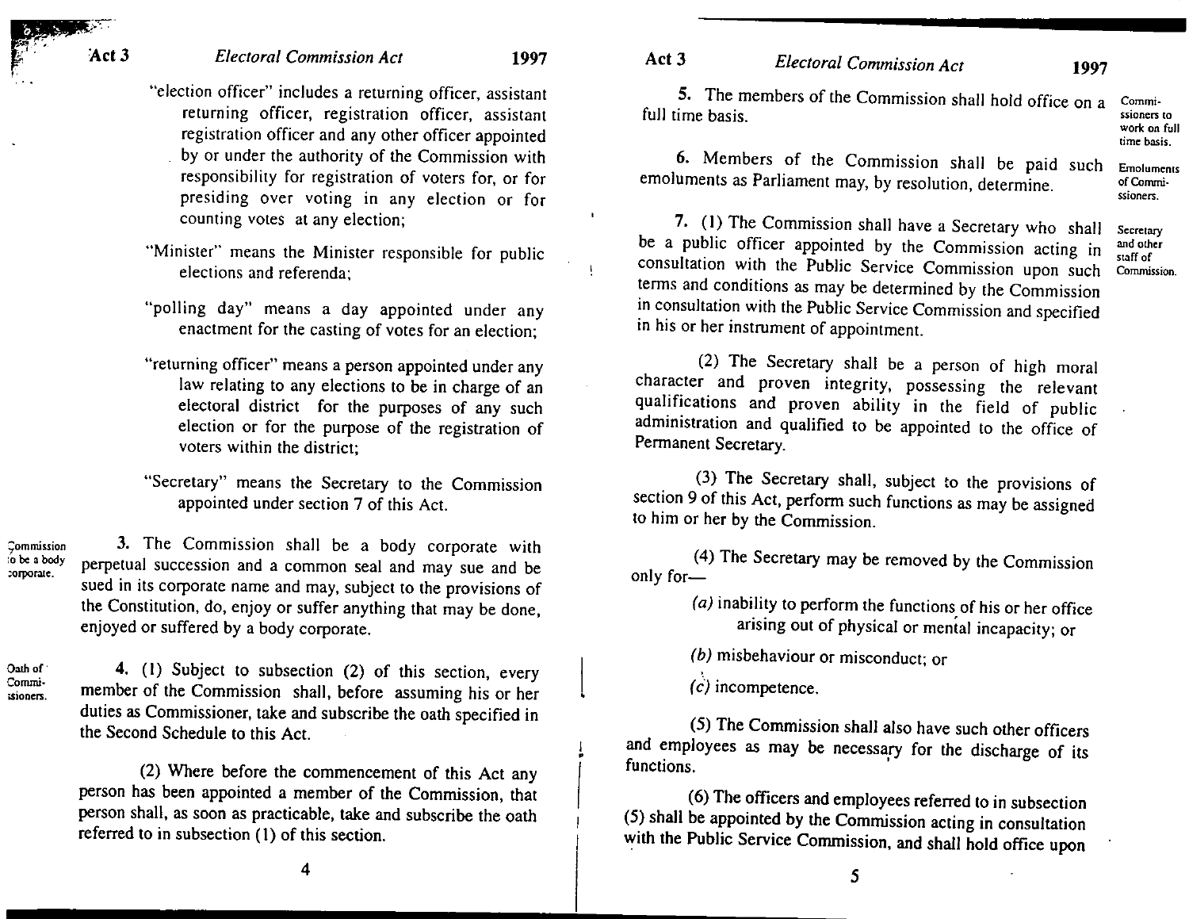## *Electoral Commission Act* 1997

- "election officer" includes a returning officer, assistant returning officer, registration officer, assistant registration officer and any other officer appointed by or under the authority of the Commission with responsibility for registration of voters for, or for presiding over voting in any election or for counting votes at any election;
- "Minister" means the Minister responsible for public elections and referenda;
- "polling day" means a day appointed under any enactment for the casting of votes for an election;
- "returning officer" means a person appointed under any law relating to any elections to be in charge of an electoral district for the purposes of any such election or for the purpose of the registration of voters within the district;
- "Secretary" means the Secretary to the Commission appointed under section 7 of this Act.

jommission :0 be: a body ;orporate. 3. The Commission shall be a body corporate with perpetual succession and a common seal and may sue and be sued in its corporate name and may, subject to the provisions of the Constitution, do, enjoy or suffer anything that may be done, enjoyed or suffered by a body corporate.

Oath of Commisioners.

4. (I) Subject to subsection (2) of this section, every member of the Commission shall, before assuming his or her duties as Commissioner, take and subscribe the oath specified in the Second Schedule to this Act.

(2) Where before the commencement of this Act any person has been appointed a member of the Commission, that person shall, as soon as practicable, take and subscribe the oath referred to in subsection (I) of this section.

5. The members of the Commission shall hold office on a Commissioners to

> work on full time basis. **Emoluments** of Commissioners.

6. Members of the Commission shall be paid such emoluments as Parliament may, by resolution, determine.

7. (I) The Commission shall have a Secretary who shall be a public officer appointed by the Commission acting in consultation with the Public Service Commission upon such terms and conditions as may be determined by the Commission in consultation with the Public Service Commission and specified in his or her instrument of appointment. **Secretary** and other staff of Commission.

(2) The Secretary shall be a person of high moral character and proven integrity, possessing the relevant qualifications and proven ability in the field of public administration and qualified to be appointed to the office of Permanent Secretary.

(3) The Secretary shall, subject to the provisions of section 9 of this Act, perform such functions as may be assigned to him or her by the Commission.

(4) The Secretary may be removed by the Commission only for-

> (a) inability to perform the functions of his or her office arising out of physical or mental incapacity; or

(b) misbehaviour or misconduct; or

(c) incompetence.

I •

(5) The Commission shall also have such other officers and employees as may be necessary for the discharge of its functions.

(6) The officers and employees referred to in subsection (5) shall be appointed by the Commission acting in consultation with the Public Service Commission, and shall hold office upon

5

4

# Act 3 *Electoral Commission Act* 1997

full time basis.

 $Act3$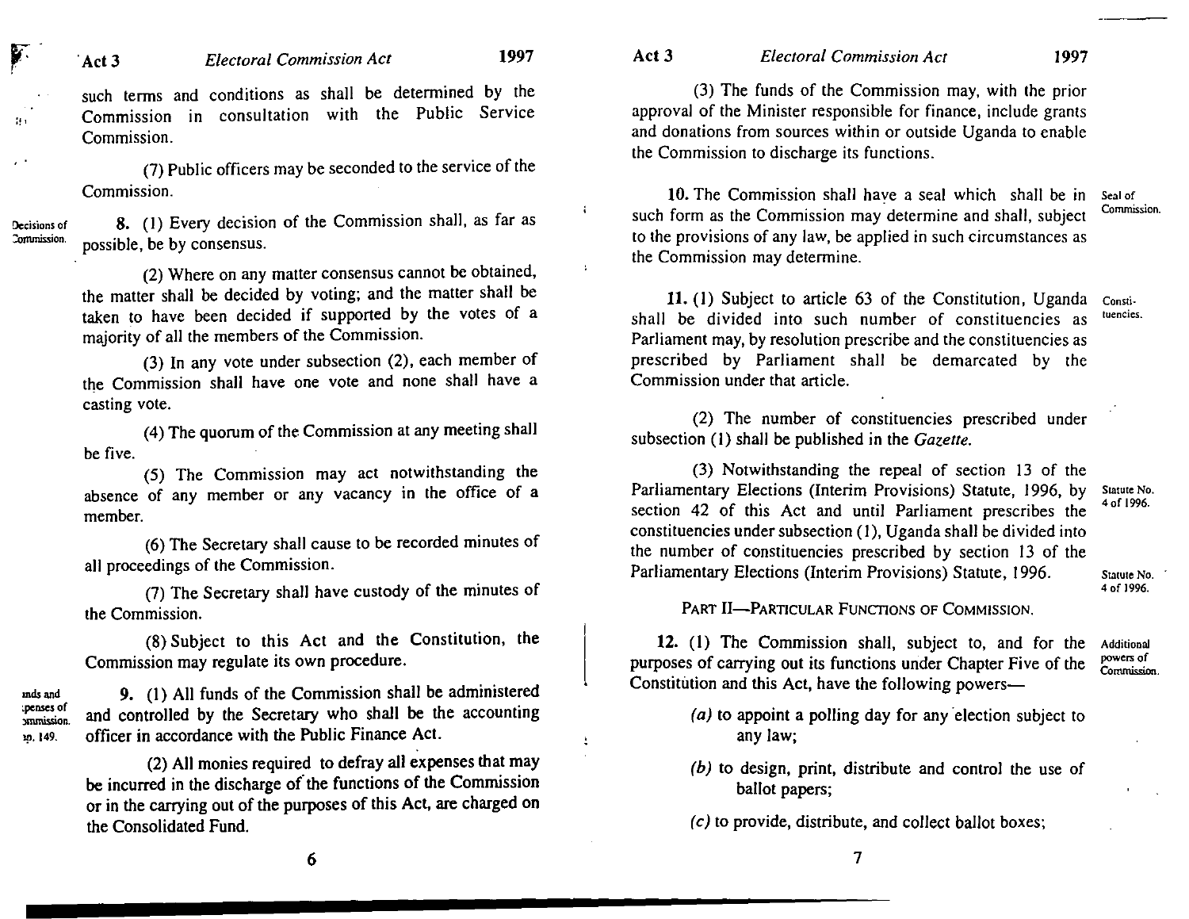such terms and conditions as shall be determined by the Commission in consultation with the Public Service Commission.

(7) Public officers may be seconded to the service of the Commission.

Decisions of :ommission.

T

 $\mathcal{H}$ 

mds and ~penses of

19·149.

S. (I) Every decision of the Commission shall, as far as possible, be by consensus.

(2) Where on any matter consensus cannot be obtained, the matter shall be decided by voting; and the matter shall be taken to have been decided if supported by the votes of a majority of all the members of the Commission.

(3) In any vote under subsection (2), each member of the Commission shall have one vote and none shall have a casting vote.

(4) The quorum of the Commission at any meeting shall be five.

(5) The Commission may act notwithstanding the absence of any member or any vacancy in the office of a member.

(6) The Secretary shall cause to be recorded minutes of all proceedings of the Commission.

(7) The Secretary shall have custody of the minutes of the Commission.

(8) Subject to this Act and the Constitution, the Commission may regulate its own procedure.

nunission. 9. (1) All funds of the Commission shall be administered and controlled by the Secretary who shall be the accounting officer in accordance with the Public Finance Act.

> (2) All monies required to defray all expenses that may be incurred in the discharge of'the functions of the Commission or in the carrying out of the purposes of this Act, are charged on the Consolidated Fund.

Å,

#### Act 3 *Electoral Commission Act* 1997

(3) The funds of the Commission may, with the prior approval of the Minister responsible for finance, include grants and donations from sources within or outside Uganda to enable the Commission to discharge its functions.

10. The Commission shall have a seal which shall be in such form as the Commission may determine and shall, subject to the provisions of any law, be applied in such circumstances as the Commission may determine. Seal of Commission.

11. (I) SUbject to article 63 of the Constitution, Uganda shall be divided into such number of constituencies as Parliament may, by resolution prescribe and the constituencies as prescribed by Parliament shall be demarcated by the Commission under that article. Constituencies.

(2) The number of constituencies prescribed under subsection (I) shall be published in the *Gazette.* 

(3) Notwithstanding the repeal of section 13 of the Parliamentary Elections (Interim Provisions) Statute, 1996, by section 42 of this Act and until Parliament prescribes the constituencies under subsection (I), Uganda shall be divided into the number of constituencies prescribed by section 13 of the Parliamentary Elections (Interim Provisions) Statute, 1996. Statute No. 'of 1996, Statute No. • of 1996,

PART II-PARTICULAR FUNCTIONS OF COMMISSION.

12. (1) The Commission shall, subject to, and for the purposes of carrying out its functions under Chapter Five of the Constitution and this Act, have the following powers-Additional powers of Commission.

- $(a)$  to appoint a polling day for any election subject to any law;
- (b) to design, print, distribute and control the use of ballot papers;
- $(c)$  to provide, distribute, and collect ballot boxes;

6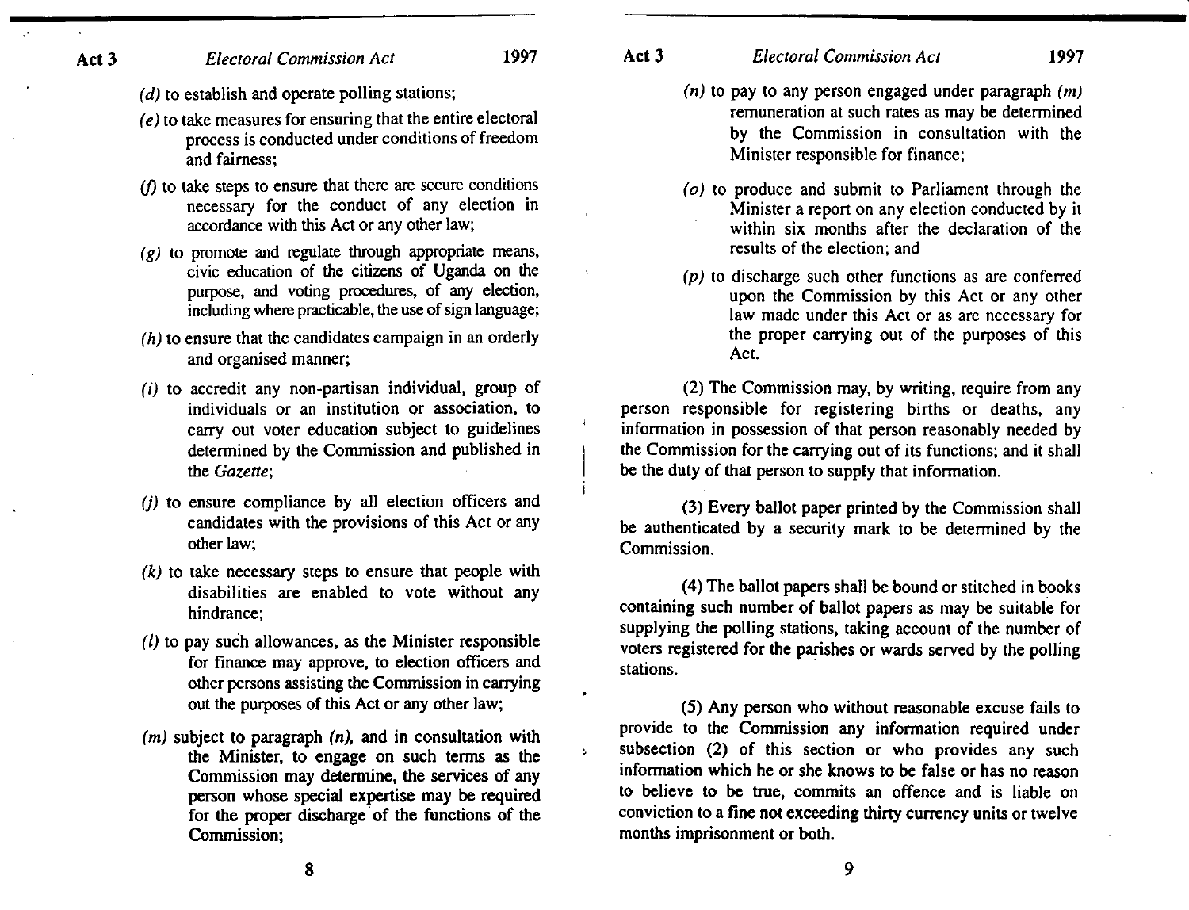- (d) to establish and operate polling stations;
- (e) to take measures for ensuring that the entire electoral process is conducted under conditions of freedom and fairness;
- $\langle f \rangle$  to take steps to ensure that there are secure conditions necessary for the conduct of any election in accordance with this Act or any other law;
- $(g)$  to promote and regulate through appropriate means, civic education of the citizens of Uganda on the purpose, and voting procedures, of any election, including where practicable, the use of sign language;
- (h) to ensure that the candidates campaign in an orderly and organised manner;
- (i) to accredit any non-partisan individual, group of individuals or an institution or association, to carry out voter education subject to guidelines determined by the Commission and published in the *Gazette;*
- (j) to ensure compliance by all election officers and candidates with the provisions of this Act or any other law;
- $(k)$  to take necessary steps to ensure that people with disabilities are enabled to vote without any hindrance;
- $(1)$  to pay such allowances, as the Minister responsible for finance may approve, to election officers and other persons assisting the Commission in carrying out the purposes of this Act or any other law;
- $(m)$  subject to paragraph  $(n)$ , and in consultation with the Minister, to engage on such terms as the Commission may determine, the services of any person whose special expertise may be required for the proper discharge of the functions of the Commission:

 $\mathbf{r}$ 

# Act 3 *Electoral Commission Acl* 1997

- $(n)$  to pay to any person engaged under paragraph  $(m)$ remuneration at such rates as may be determined by the Commission in consultation with the Minister responsible for finance;
- (0) to produce and submit to Parliament through the Minister a report on any election conducted by it within six months after the declaration of the results of the election; and
- (p) to discharge such other functions as are conferred upon the Commission by this Act or any other law made under this Act or as are necessary for the proper carrying out of the purposes of this Act.

(2) The Commission may, by writing, require from any person responsible for registering births or deaths, any information in possession of that person reasonably needed by the Commission for the carrying out of its functions; and it shall be the duty of that person to supply that information.

(3) Every ballot paper printed by the Commission shall be authenticated by a security mark to be determined by the Commission.

(4) The ballot papers shall be bound or stitched in books containing such number of ballot papers as may be suitable for supplying the polling stations, taking account of the number of voters registered for the parishes or wards served by the polling stations.

(5) Any person who without reasonable excuse fails to provide to the Commission any information required under subsection (2) of this section or who provides any such information which he or she knows to be false or has no reason to believe to be true, commits an offence and is liable on conviction to a fine not exceeding thirty currency units or twelve months imprisonment or both.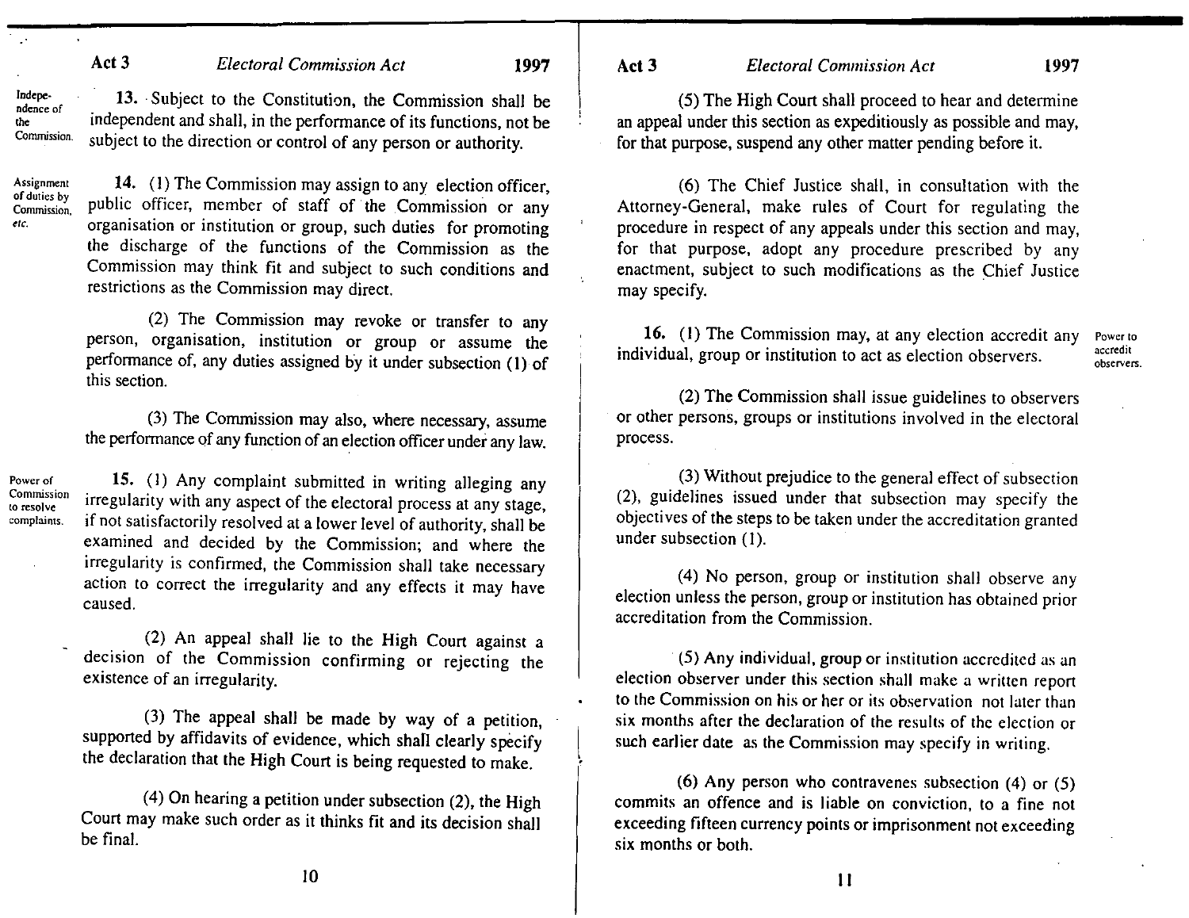Commission. 13. Subject to the Constitution, the Commission shall be independent and shall, in the performance of its functions, not be subject to the direction or control of any person or authority.

Assignment **of** duties by Commission, *etc.* 

Power of Commission to resolve complaints.

**Independence** of 'he

> 14. (I) The Commission may assign to any election officer, public officer, member of staff of the Commission or any organisation or institution or group, such duties for promoting the discharge of the functions of the Commission as the Commission may think fit and subject to such conditions and restrictions as the Commission may direct.

> (2) The Commission may revoke or transfer to any person, organisation, institution or group or assume the performance of, any duties assigned by it under subsection (I) of this section.

> (3) The Commission may also, where necessary, assume the performance of any function of an election officer under any law.

15. (I) Any complaint submitted in writing alleging any irregularity with any aspect of the electoral process at any stage, if not satisfactorily resolved at a lower level of authority, shall be examined and decided by the Commission; and where the irregularity is confirmed, the Commission shall take necessary action to correct the irregularity and any effects it may have caused.

(2) An appeal shall lie to the High Court against a decision of the Commission confirming or rejecting the existence of an irregularity.

(3) The appeal shall be made by way of a petition, supported by affidavits of evidence, which shall clearly specify the declaration that the High Court is being requested to make.

(4) On hearing a petition under subsection (2), the High Court may make such order as it thinks fit and its decision shall be final.

Act 3 *Electoral Commission Act* 1997

(5) The High Court shall proceed to hear and determine an appeal under this section as expeditiously as possible and may, for that purpose, suspend any other matter pending before it.

(6) The Chief Justice shall, in consultation with the Attorney-General, make rules of Court for regulating the procedure in respect of any appeals under this section and may, for that purpose, adopt any procedure prescribed by any enactment, subject to such modifications as the Chief Justice may specify.

16. (I) The Commission may, at any election accredit any individual, group or institution to act as election observers.

Power to accredit observers.

(2) The Commission shall issue guidelines to observers or other persons, groups or institutions involved in the electoral process.

(3) Without prejudice to the general effect of subsection (2), guidelines issued under that subsection may specify the objectives of the steps to be taken under the accreditation granted under subsection (I).

(4) No person, group or institution shall observe any election unless the person, group or institution has obtained prior accreditation from the Commission.

(5) Any individual, group or institution accredited as an election observer under this section shall make a written report to the Commission on his or her or its observation not later than six months after the declaration of the results of the election or such earlier date as the Commission may specify in writing.

 $\left| \right|$ 

(6) Any person who contravenes subsection (4) or (5) commits an offence and is liable on conviction, to a fine not exceeding fifteen currency points or imprisonment not exceeding six months or both.

10

II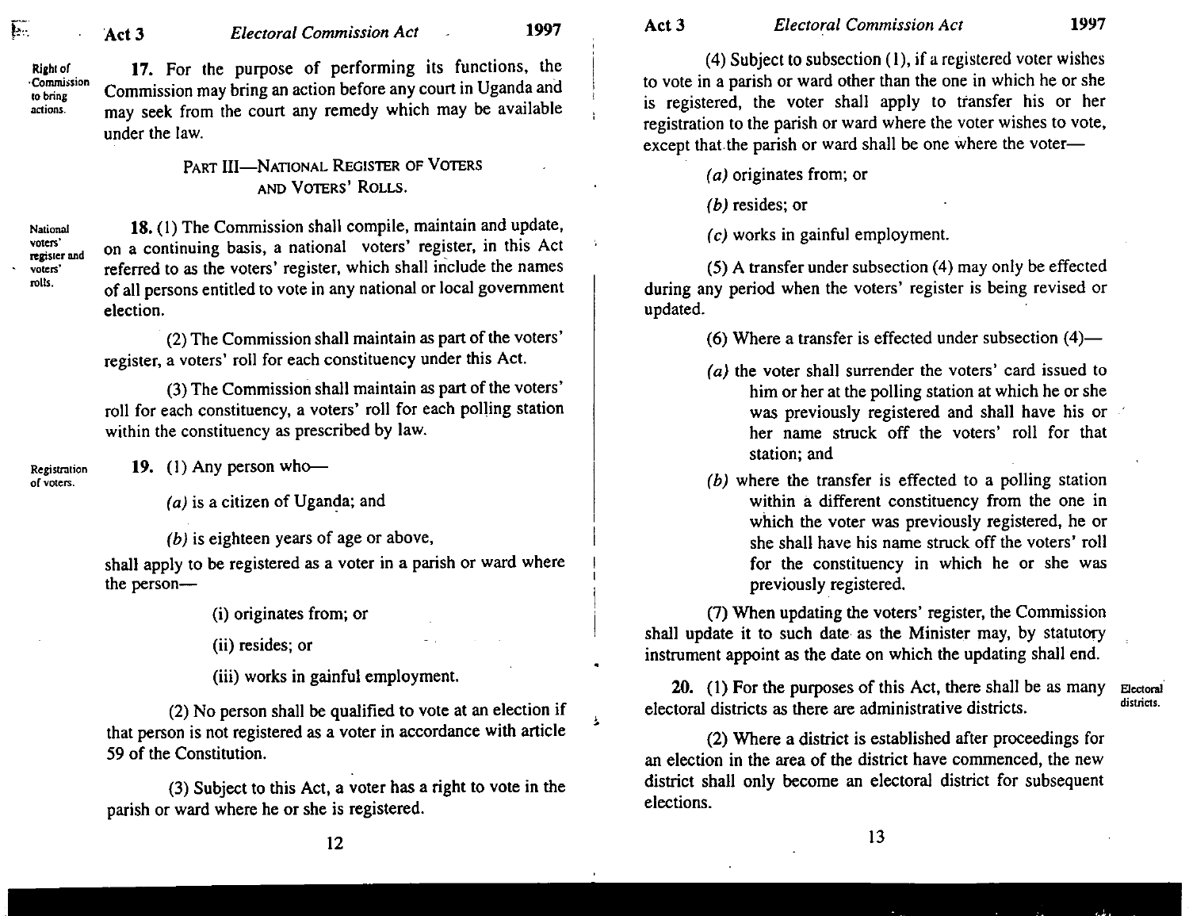Right of -Commission to bring actions.

17. For the purpose of performing its functions. the Commission may bring an action before any court in Uganda and may seek from the court any remedy which may be available under the law.

# PART III-NATIONAL REGISTER OF VOTERS AND VOTERS' ROLLS.

register and 18. (I) The Commission shall compile. maintain and update. on a continuing basis, a national voters' register. in this Act referred to as the voters' register, which shall include the names of all persons entitled to vote in any national or local government election.

> (2) The Commission shall maintain as part of the voters' register. a voters' roll for each constituency under this Act.

> (3) The Commission shall maintain as part of the voters' roll for each constituency. a voters' roll for each polling station within the constituency as prescribed by law.

Registration  $19.$  (1) Any person who--

of voters.

National vOlers'

 $\overline{\mathbf{E}}$ 

voters' rolls.

 $(a)$  is a citizen of Uganda; and

 $(b)$  is eighteen years of age or above,

shall apply to be registered as a voter in a parish or ward where the person-

(i) originates from; or

(ii) resides; or

(iii) works in gainful employment.

(2) No person shall be qualified to vote at an election if that person is not registered as a voter in accordance with article 59 of the Constitution.

(3) Subject to this Act, a voter has a right to vote in the parish or ward where he or she is registered.

(4) Subject to subsection (I). if a registered voter wishes to vote in a parish or ward other than the one in which he or she is registered. the voter shall apply to transfer his or her registration to the parish or ward where the voter wishes to vote. except that the parish or ward shall be one where the voter-

(a) originates from; or

 $(b)$  resides; or

(c) works in gainful employment.

(5) A transfer under subsection (4) may only be effected during any period when the voters' register is being revised or updated.

(6) Where a transfer is effected under subsection  $(4)$ —

- (a) the voter shall surrender the voters' card issued to him or her at the polling station at which he or she was previously registered and shall have his or her name struck off the voters' roll for that station; and
- (b) where the transfer is effected to a polling station within a different constituency from the one in which the voter was previously registered. he or she shall have his name struck off the voters' roll for the constituency in which he or she was previously registered.

(7) When updating the voters' register, the Commission shall update it to such date as the Minister may. by statutory instrument appoint as the date on which the updating shall end.

20. (1) For the purposes of this Act, there shall be as many electoral districts as there are administrative districts. Electora1 districts.

(2) Where a district is established after proceedings for an election in the area of the district have commenced. the new district shall only become an electoral district for subsequent elections.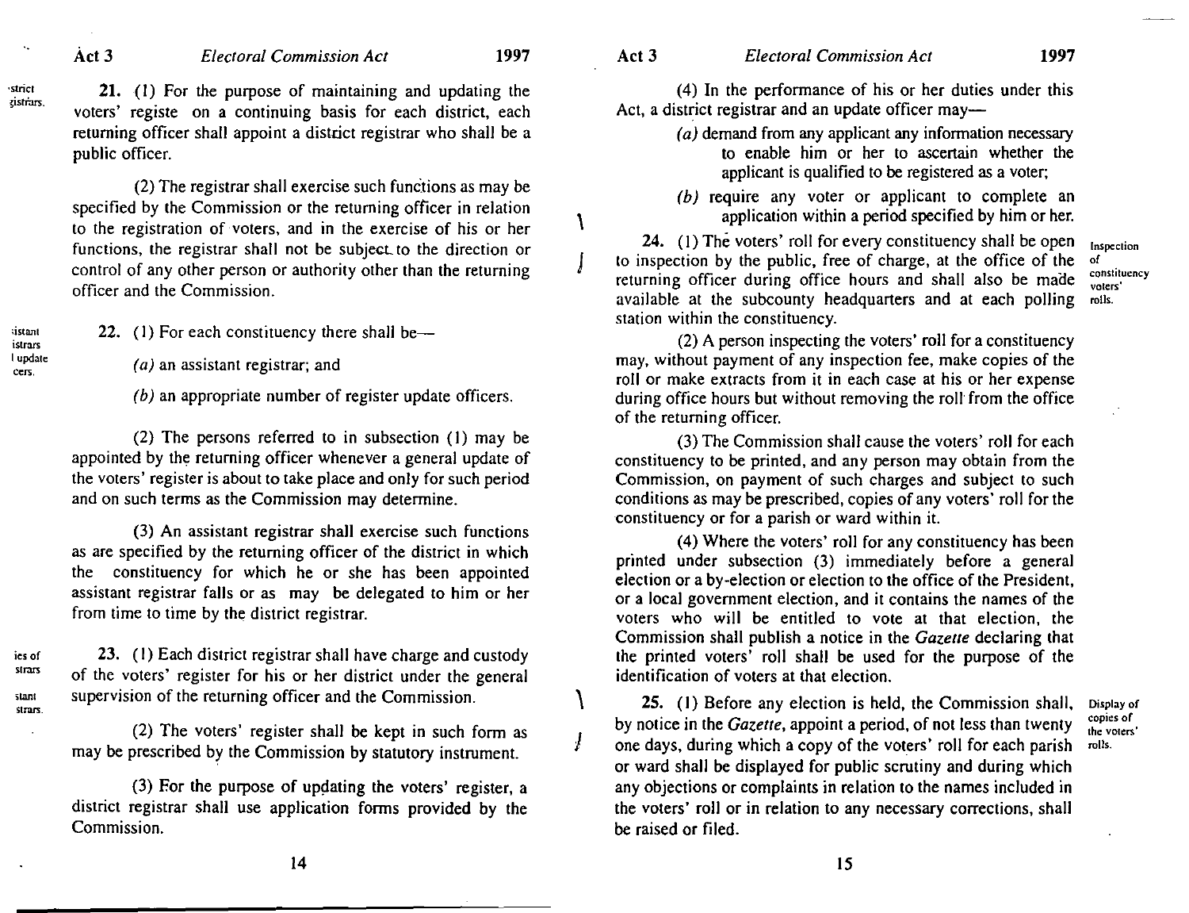'strict ~isria:rs.

;istnnl istrars I updale cers.

#### Act3 *Electoral Commission Act* 1997

21. (I) For the purpose of maintaining and updating the voters' registe on a continuing basis for each district, each returning officer shall appoint a district registrar who shall be a public officer.

 $(2)$  The registrar shall exercise such functions as may be specified by the Commission or the returning officer in relation to the registration of voters, and in the exercise of his or her functions, the registrar shall not be subject to the direction or control of any other person or authority other than the returning officer and the Commission.

22. (1) For each constituency there shall be-

(a) an assistant registrar; and

(b) an appropriate number of register update officers.

(2) The persons referred to in subsection (I) may be appointed by the returning officer whenever a general update of the voters' register is about to take place and only for such period and on such terms as the Commission may determine.

(3) An assistant registrar shall exercise such functions as are specified by the returning officer of the district in which the constituency for which he or she has been appointed assistant registrar falls or as may be delegated to him or her from time to time by the district registrar.

ies of strars slant

strars.

23. (I) Each district registrar shall have charge and custody of the voters' register for his or her district under the general supervision of the returning officer and the Commission.

(2) The voters' register shall be kept in such form as may be prescribed by the Commission by statutory instrument.

 $(3)$  For the purpose of updating the voters' register, a district registrar shall use application forms provided by the Commission.

14

 $\sqrt{ }$ 

J

\

J

(4) In the performance of his or her duties under this Act, a district registrar and an update officer may-

- $(a)$  demand from any applicant any information necessary to enable him or her to ascertain whether the applicant is qualified to be registered as a voter;
- (b) require any voter or applicant to complete an application within a period specified by him or her.

24. (I) The voters' roll for every constituency shall be open to inspection by the public, free of charge, at the office of the returning officer during office hours and shall also be made available at the subcounty headquarters and at each polling station within the constituency. Inspection of constituency voters' rolls.

(2) A person inspecting the voters' roll for a constituency may, without payment of any inspection fee, make copies of the roll or make extracts from it in each case at his or her expense during office hours but without removing the roll from the office of the returning officer.

(3) The Commission shall cause the voters' roll for each constituency to be printed, and any person may obtain from the Commission, on payment of such charges and subject to such conditions as may be prescribed, copies of any voters' roll for the constituency or for a parish or ward within it.

(4) Where the voters' roll for any constituency has been printed under subsection (3) immediately before a general election or a by-election or election to the office of the President, or a local government election, and it contains the names of the voters who will be entitled to vote at that election, the Commission shall publish a notice in the *Gazette* declaring that the printed voters' roll shall be used for the purpose of the identification of voters at that election.

25. (I) Before any election is held, the Commission shall, by notice in the *Gazette,* appoint a period, of not less than twenty one days, during which a copy of the voters' roll for each parish or ward shall be displayed for public scrutiny and during which any objections or complaints in relation to the names included in the voters' roll or in relation to any necessary corrections, shall be raised or filed.

copies of the vOlers' rolls.

Display of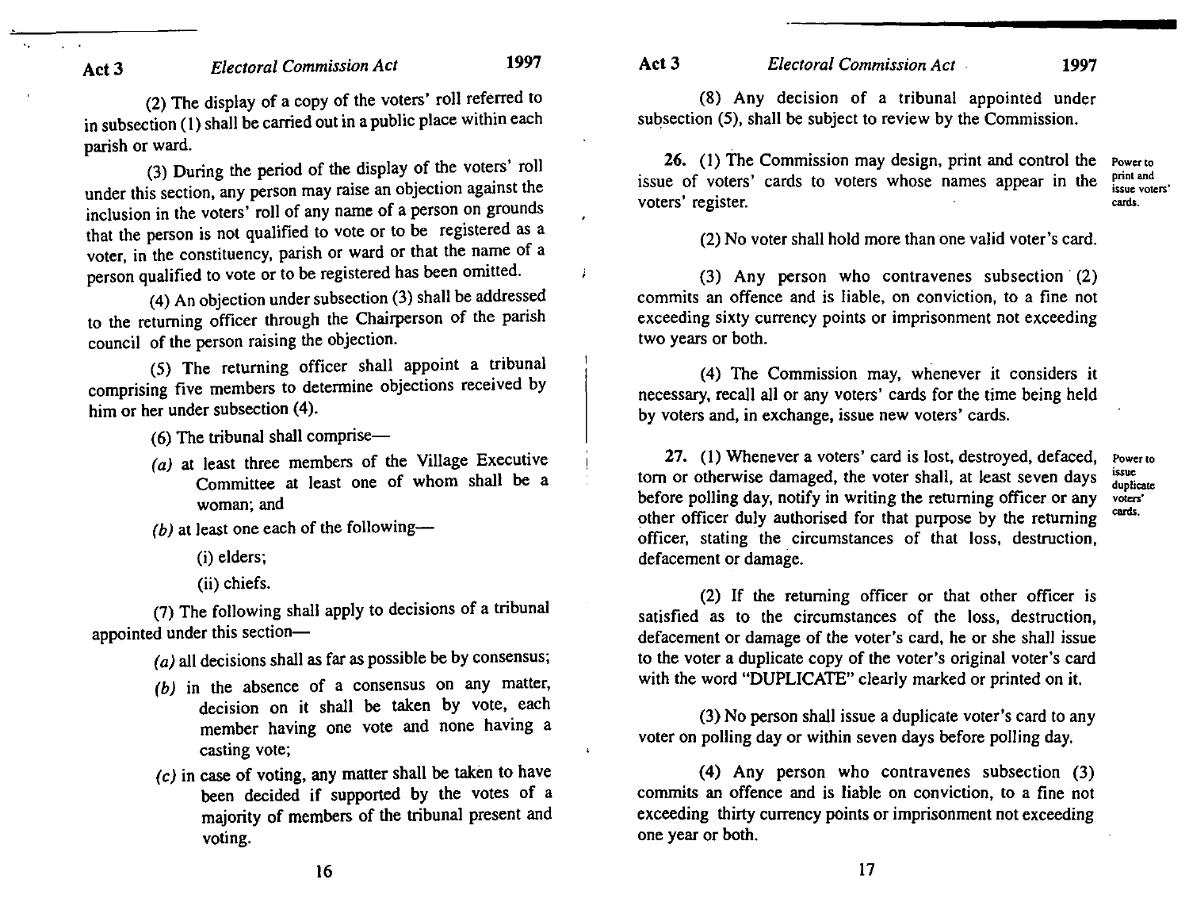(2) The display of a copy of the voters' roll referred to in subsection (1) shall be carried out in a public place within each parish or ward.

(3) During the period of the display of the voters' roll under this section, any person may raise an objection against the inclusion in the voters' roll of any name of a person on grounds that the person is not qualified to vote or to be registered as a voter, in the constituency, parish or ward or that the name of a person qualified to vote or to be registered has been omitted.

(4) An objection under subsection (3) shall be addressed to the returning officer through the Chairperson of the parish council of the person raising the objection.

(5) The returning officer shall appoint a tribunal comprising five members to determine objections received by him or her under subsection (4).

 $(6)$  The tribunal shall comprise-

(a) at least three members of the Village Executive Committee at least one of whom shall be a woman; and

(b) at least one each of the following--

- (i) elders;
- (ii) chiefs.

(7) The following shall apply to decisions of a tribunal appointed under this section-

 $(a)$  all decisions shall as far as possible be by consensus;

- (b) in the absence of a consensus on any matter, decision on it shall be taken by vote, each member having one vote and none having a casting vote;
- (c) in case of voting, any matter shall be taken to have been decided if supported by the votes of a majority of members of the tribunal present and voting.

Act 3 *Electoral Commission Act* 1997

**Power to**  print and **issue voters'**  canis.

(8) Any decision of a tribunal appointed under subsection (5), shall be subject to review by the Commission.

26. (1) The Commission may design, print and control the issue of voters' cards to voters whose names appear in the voters' register.

(2) No voter shall hold more than one valid voter's card.

(3) Any person who contravenes subsection' (2) commits an offence and is liable, on conviction, to a fine not exceeding sixty currency points or imprisonment not exceeding two years or both.

(4) The Commission may, whenever it considers it necessary, recall all or any voters' cards for the time being held by voters and, in exchange, issue new voters' cards.

27. (I) Whenever a voters' card is lost, destroyed, defaced, tom or otherwise damaged, the voter shall, at least seven days before polling day, notify in writing the returning officer or any other officer duly authorised for that purpose by the returning officer, stating the circumstances of that loss, destruction, defacement or damage. **Power to**  issue **duplicate**  VO!cr>' canis.

(2) If the returning officer or that other officer is satisfied as to the circumstances of the loss, destruction, defacement or damage of the voter's card, he or she shall issue to the voter a duplicate copy of the voter's original voter's card with the word "DUPLICATE" clearly marked or printed on it.

(3) No person shall issue a duplicate voter's card to any voter on polling day or within seven days before polling day.

(4) Any person who contravenes subsection (3) commits an offence and is liable on conviction, to a fine not exceeding thirty currency points or imprisonment not exceeding one year or both.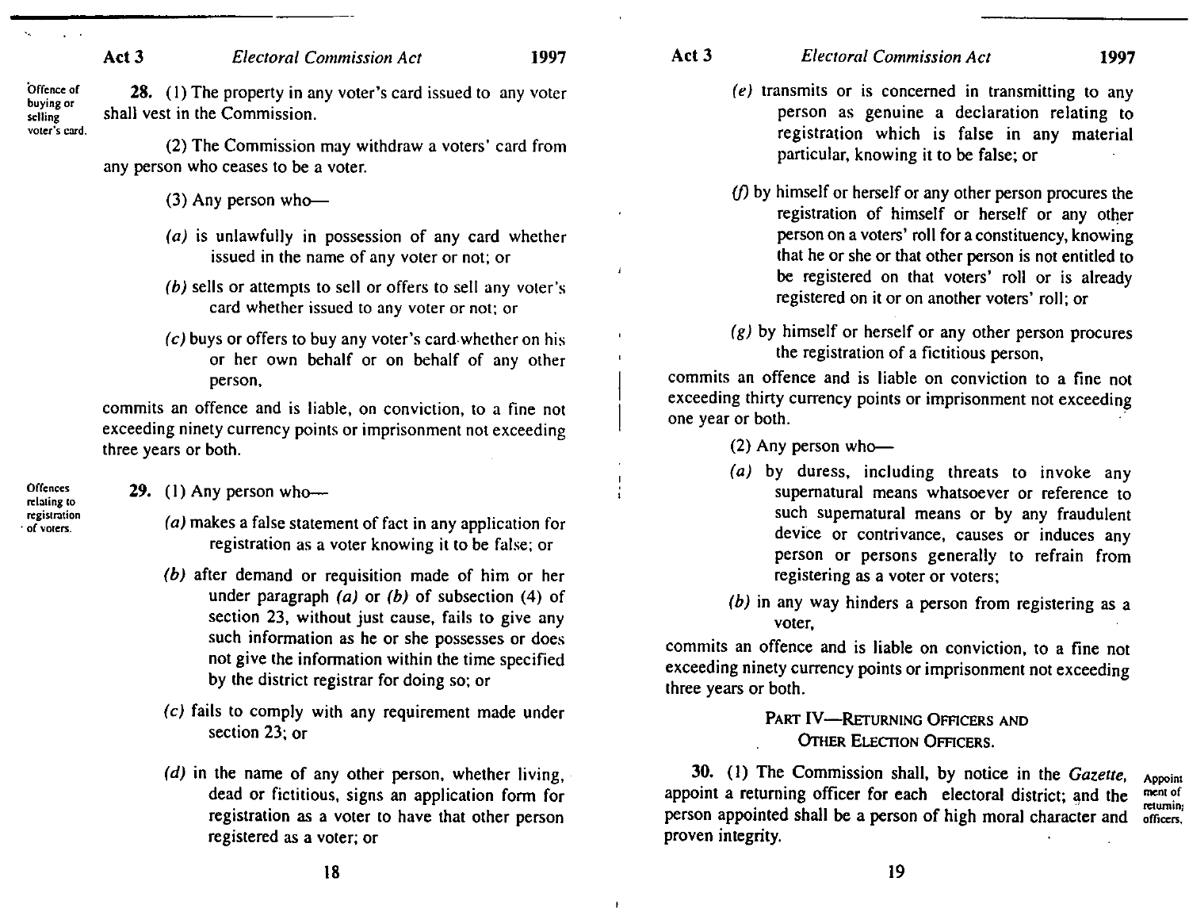**Offence of buying or selling vOler's card.**  28. (1) The property in any voter's card issued to any voter shall vest in the Commission.

> (2) The Commission may withdraw a voters' card from any person who ceases to be a voter.

- $(3)$  Any person who--
- (a) is unlawfully in possession of any card whether issued in the name of any voter or not; or
- (b) sells or attempts to sell or offers to sell any voter's card whether issued to any voter or not; or
- $(c)$  buys or offers to buy any voter's card whether on his or her own behalf or on behalf of any other person,

commits an offence and is liable, on conviction, to a fine not exceeding ninety currency points or imprisonment not exceeding three years or both.

29. (1) Any person who---

**Offences relating (0**  registration . **of voters.** 

- (a) makes a false statement of fact in any application for registration as a voter knowing it to be false; or
- (b) after demand or requisition made of him or her under paragraph (a) or *(b)* of subsection (4) of section 23, without just cause, fails to give any such information as he or she possesses or does not give the information within the time specified by the district registrar for doing so; or
- (e) fails to comply with any requirement made under section 23; or
- (d) in the name of any other person, whether living, dead or fictitious, signs an application form for registration as a voter to have that other person registered as a voter; or
- Act 3 *Electoral Commission Act* 1997
	- (e) transmits or is concerned in transmitting to any person as genuine a declaration relating to registration which is false in any material particular, knowing it to be false; or
	- $(f)$  by himself or herself or any other person procures the registration of himself or herself or any other person on a voters' roll for a constituency, knowing that he or she or that other person is not entitled to be registered on that voters' roll or is already registered on it or on another voters' roll; or
	- $(g)$  by himself or herself or any other person procures the registration of a fictitious person,

commits an offence and is liable on conviction to a fine not exceeding thirty currency points or imprisonment not exceeding one year or both.

- $(2)$  Any person who--
- (a) by duress, including threats to invoke any supernatural means whatsoever or reference to such supernatural means or by any fraudulent device or contrivance, causes or induces any person or persons generally to refrain from registering as a voter or voters;
- (b) in any way hinders a person from registering as a voter,

commits an offence and is liable on conviction, to a fine not exceeding ninety currency points or imprisonment not exceeding three years or both.

# PART IV-RETURNING OFFICERS AND OTHER ELECTION OFFICERS.

30. (I) The Commission shall, by notice in the *Gazelle,*  appoint a returning officer for each electoral district; and the person appointed shall be a person of high moral character and proven integrity. **Appoint menlof**  returning **officers.**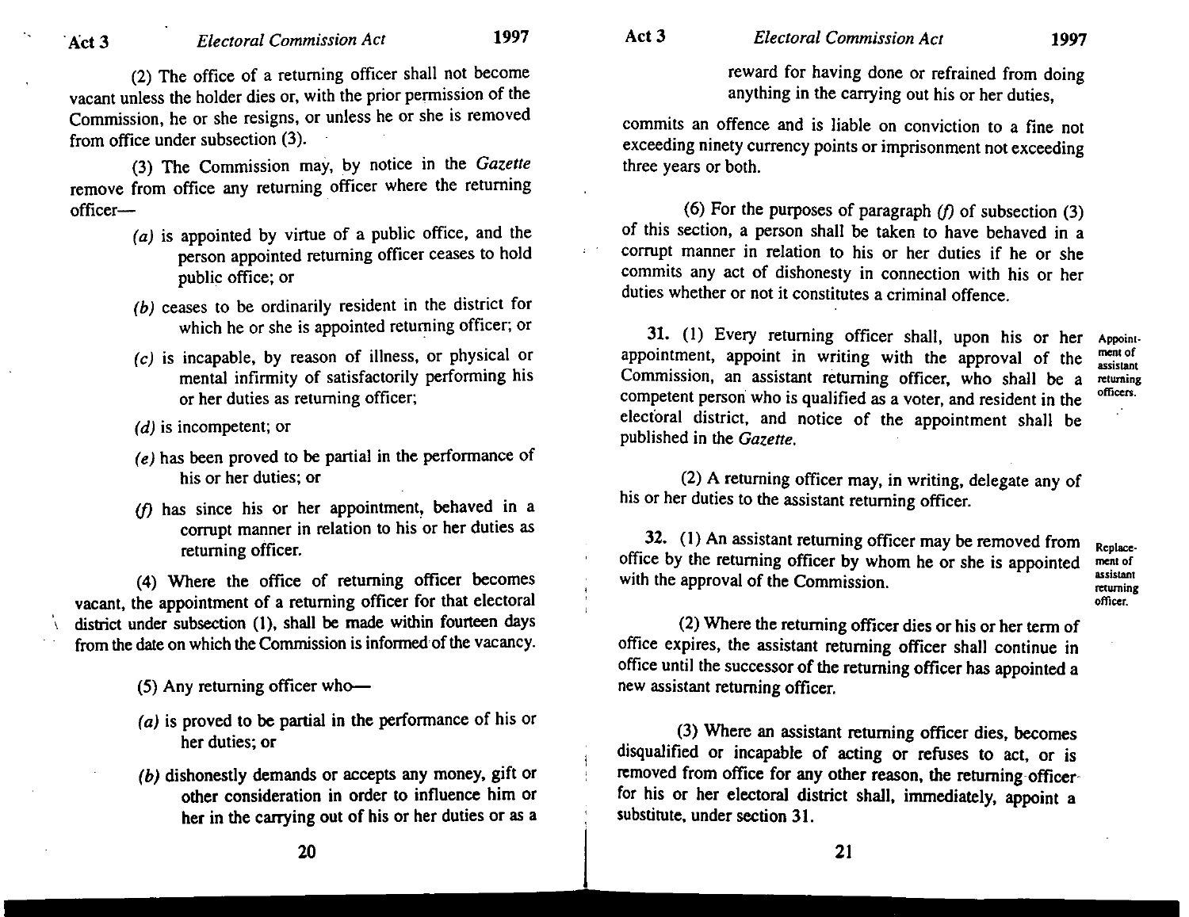(2) The office of a returning officer shall not become vacant unless the holder dies or, with the prior permission of the Commission, he or she resigns, or unless he or she is removed from office under subsection (3).

(3) The Commission may, by notice in the *Gazette*  remove from office any returning officer where the returning officer-

- $(a)$  is appointed by virtue of a public office, and the person appointed returning officer ceases to hold public office; or
- (b) ceases to be ordinarily resident in the district for which he or she is appointed returning officer; or
- (c) is incapable, by reason of illness, or physical or mental infirmity of satisfactorily performing his or her duties as returning officer;
- (d) is incompetent; or
- $(e)$  has been proved to be partial in the performance of his or her duties; or
- $(f)$  has since his or her appointment, behaved in a corrupt manner in relation to his or her duties as returning officer.

(4) Where the office of returning officer becomes vacant, the appointment of a returning officer for that electoral district under subsection (1), shall be made within fourteen days from the date on which the Commission is informed of the vacancy.

(5) Any returning officer who-

- (a) is proved to be partial in the performance of his or her duties; or
- (b) dishonestly demands or accepts any money, gift or other consideration in order to influence him or her in the carrying out of his or her duties or as a

reward for having done or refrained from doing

commits an offence and is liable on conviction to a fine not exceeding ninety currency points or imprisonment not exceeding three years or both.

anything in the carrying out his or her duties,

(6) For the purposes of paragraph  $(f)$  of subsection (3) of this section, a person shall be taken to have behaved in a corrupt manner in relation to his or her duties if he or she commits any act of dishonesty in connection with his or her duties whether or not it constitutes a criminal offence.

31. (I) Every returning officer shall, upon his or her **Appoint**appointment, appoint in writing with the approval of the Commission, an assistant returning officer, who shall be a competent person who is qualified as a voter, and resident in the electoral district, and notice of the appointment shall be published in the *Gazette.* 

**ment of assistant returning officen.** 

(2) A returning officer may, in writing, delegate any of his or her duties to the assistant returning officer.

32. (1) An assistant returning officer may be removed from office by the returning officer by whom he or she is appointed with the approval of the Commission.

**Replacement of assistant returning officer.** 

(2) Where the returning officer dies or his or her term of office expires, the assistant returning officer shall continue in office until the successor of the returning officer has appointed a new assistant returning officer.

(3) Where an assistant returning officer dies, becomes disqualified or incapable of acting or refuses to act, or is removed from office for any other reason, the returning-officerfor his or her electoral district shall, immediately, appoint a substitute, under section 31.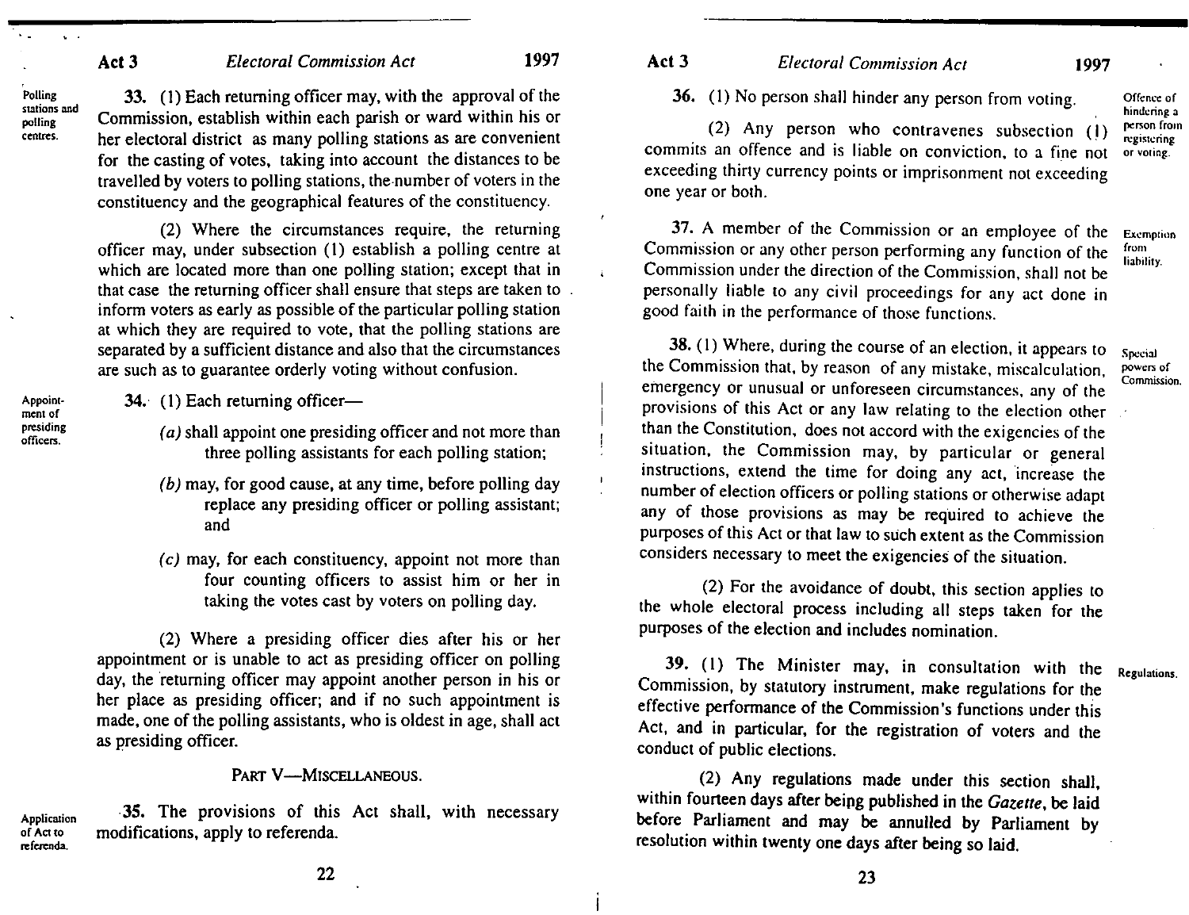Polling stations and polling centres.

33. (1) Each returning officer may, with the approval of the Commission, establish within each parish or ward within his or her electoral district as many polling stations as are convenient for the casting of votes, taking into account the distances to be travelled by voters to polling stations, the number of voters in the constituency and the geographical features of the constituency.

(2) Where the circumstances require, the returning officer may, under subsection (1) establish a polling centre at which are located more than one polling station; except that in that case the returning officer shall ensure that steps are taken to inform voters as early as possible of the particular polling station at which they are required to vote, that the polling stations are separated by a sufficient distance and also that the circumstances are such as to guarantee orderly voting without confusion.

34. (1) Each returning officer-

- (a) shall appoint one presiding officer and not more than three polling assistants for each polling station;
- (b) may, for good cause, at any time, before polling day replace any presiding officer or polling assistant; and
- (c) may, for each constituency, appoint not more than four counting officers to assist him or her in taking the votes cast by voters on polling day.

(2) Where a presiding officer dies after his or her appointment or is unable to act as presiding officer on polling day, the returning officer may appoint another person in his or her place as presiding officer; and if no such appointment is made, one of the polling assistants, who is oldest in age, shall act as presiding officer.

#### PART V-MISCELLANEOUS.

Application of Act to referenda. 35. The provisions of this Act shall, with necessary modifications, apply to referenda.

## Act 3 *Electoral Commission Act* 1997

36. (I) No person shall hinder any person from voting.

(2) Any person who contravenes subsection (I) commits an offence and is liable on conviction, to a fine not exceeding thirty currency points or imprisonment not exceeding one year or both.

37. A member of the Commission or an employee of the Commission or any other person performing any function of the Commission under the direction of the Commission, shall not be personally liable to any civil proceedings for any act done in good faith in the performance of those functions. Exemplion from liability.

38. (I) Where, during the course of an election, it appears to the Commission that, by reason of any mistake, miscalculation. emergency or unusual or unforeseen circumstances, any of the provisions of this Act or any law relating to the election other than the Constitution, does not accord with the exigencies of the situation, the Commission may, by particular or general instructions, extend the time for doing any act, increase the number of election officers or polling stations or otherwise adapt any of those provisions as may be required to achieve the purposes of this Act or that law to such extent as the Commission considers necessary to meet the exigencies of the situation.

(2) For the avoidance of doubt, this section applies to the whole electoral process including all steps taken for the purposes of the election and includes nomination.

39. (1) The Minister may, in consultation with the Regulations. Commission, by statutory instrument, make regulations for the effective performance of the Commission's functions under this Act, and in particular, for the registration of voters and the conduct of public elections.

(2) Any regulations made under this section shall, within fourteen days after beipg published in the *Gazette,* be laid before Parliament and may be annulled by Parliament by resolution within twenty one days after being so laid.

Appoinl· ment of presiding officers.

22

23

Offence of hindering. a

person from .<br>registering or vOling..

Special powers of Commission.